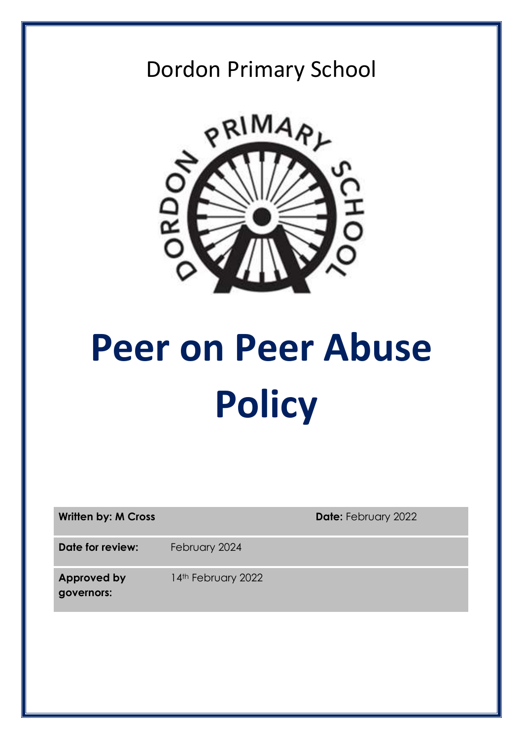## Dordon Primary School



# **Peer on Peer Abuse Policy**

| <b>Written by: M Cross</b>       |                    | <b>Date: February 2022</b> |
|----------------------------------|--------------------|----------------------------|
| Date for review:                 | February 2024      |                            |
| <b>Approved by</b><br>governors: | 14th February 2022 |                            |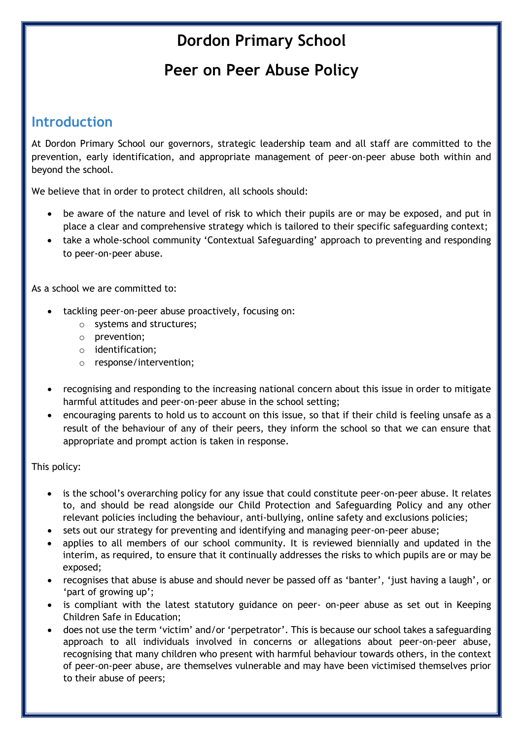## **Dordon Primary School**

## **Peer on Peer Abuse Policy**

### **Introduction**

At Dordon Primary School our governors, strategic leadership team and all staff are committed to the prevention, early identification, and appropriate management of peer-on-peer abuse both within and beyond the school.

We believe that in order to protect children, all schools should:

- be aware of the nature and level of risk to which their pupils are or may be exposed, and put in place a clear and comprehensive strategy which is tailored to their specific safeguarding context;
- take a whole-school community 'Contextual Safeguarding' approach to preventing and responding to peer-on-peer abuse.

As a school we are committed to:

- tackling peer-on-peer abuse proactively, focusing on:
	- o systems and structures;
	- o prevention;
	- o identification;
	- o response/intervention;
- recognising and responding to the increasing national concern about this issue in order to mitigate harmful attitudes and peer-on-peer abuse in the school setting;
- encouraging parents to hold us to account on this issue, so that if their child is feeling unsafe as a result of the behaviour of any of their peers, they inform the school so that we can ensure that appropriate and prompt action is taken in response.

#### This policy:

- is the school's overarching policy for any issue that could constitute peer-on-peer abuse. It relates to, and should be read alongside our Child Protection and Safeguarding Policy and any other relevant policies including the behaviour, anti-bullying, online safety and exclusions policies;
- sets out our strategy for preventing and identifying and managing peer-on-peer abuse;
- applies to all members of our school community. It is reviewed biennially and updated in the interim, as required, to ensure that it continually addresses the risks to which pupils are or may be exposed;
- recognises that abuse is abuse and should never be passed off as 'banter', 'just having a laugh', or 'part of growing up';
- is compliant with the latest statutory guidance on peer- on-peer abuse as set out in Keeping Children Safe in Education;
- does not use the term 'victim' and/or 'perpetrator'. This is because our school takes a safeguarding approach to all individuals involved in concerns or allegations about peer-on-peer abuse, recognising that many children who present with harmful behaviour towards others, in the context of peer-on-peer abuse, are themselves vulnerable and may have been victimised themselves prior to their abuse of peers;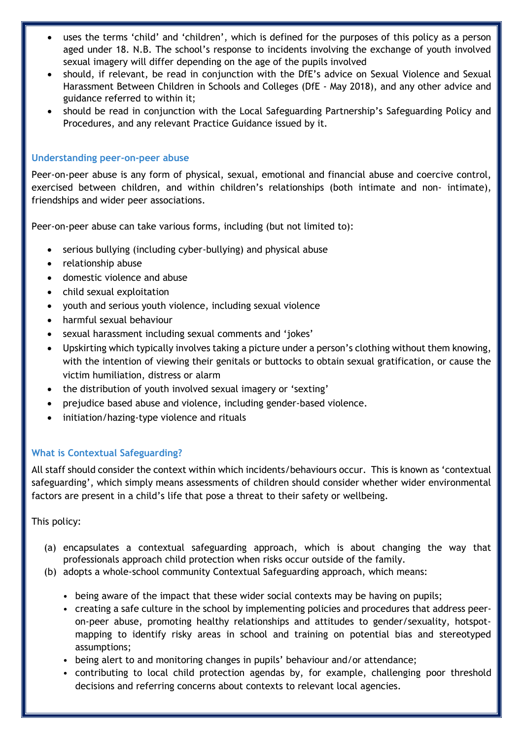- uses the terms 'child' and 'children', which is defined for the purposes of this policy as a person aged under 18. N.B. The school's response to incidents involving the exchange of youth involved sexual imagery will differ depending on the age of the pupils involved
- should, if relevant, be read in conjunction with the DfE's advice on Sexual Violence and Sexual Harassment Between Children in Schools and Colleges (DfE - May 2018), and any other advice and guidance referred to within it;
- should be read in conjunction with the Local Safeguarding Partnership's Safeguarding Policy and Procedures, and any relevant Practice Guidance issued by it.

#### **Understanding peer-on-peer abuse**

Peer-on-peer abuse is any form of physical, sexual, emotional and financial abuse and coercive control, exercised between children, and within children's relationships (both intimate and non- intimate), friendships and wider peer associations.

Peer-on-peer abuse can take various forms, including (but not limited to):

- serious bullying (including cyber-bullying) and physical abuse
- relationship abuse
- domestic violence and abuse
- child sexual exploitation
- youth and serious youth violence, including sexual violence
- harmful sexual behaviour
- sexual harassment including sexual comments and 'jokes'
- Upskirting which typically involves taking a picture under a person's clothing without them knowing, with the intention of viewing their genitals or buttocks to obtain sexual gratification, or cause the victim humiliation, distress or alarm
- the distribution of youth involved sexual imagery or 'sexting'
- prejudice based abuse and violence, including gender-based violence.
- initiation/hazing-type violence and rituals

#### **What is Contextual Safeguarding?**

All staff should consider the context within which incidents/behaviours occur. This is known as 'contextual safeguarding', which simply means assessments of children should consider whether wider environmental factors are present in a child's life that pose a threat to their safety or wellbeing.

This policy:

- (a) encapsulates a contextual safeguarding approach, which is about changing the way that professionals approach child protection when risks occur outside of the family.
- (b) adopts a whole-school community Contextual Safeguarding approach, which means:
	- being aware of the impact that these wider social contexts may be having on pupils;
	- creating a safe culture in the school by implementing policies and procedures that address peeron-peer abuse, promoting healthy relationships and attitudes to gender/sexuality, hotspotmapping to identify risky areas in school and training on potential bias and stereotyped assumptions;
	- being alert to and monitoring changes in pupils' behaviour and/or attendance;
	- contributing to local child protection agendas by, for example, challenging poor threshold decisions and referring concerns about contexts to relevant local agencies.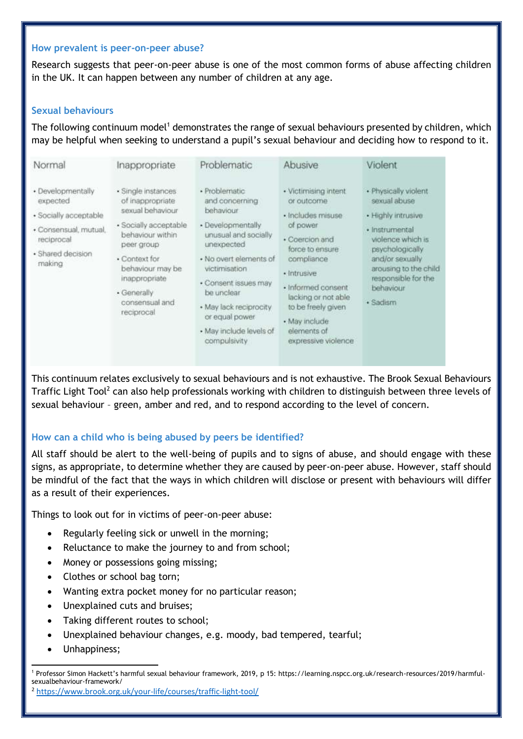#### **How prevalent is peer-on-peer abuse?**

Research suggests that peer-on-peer abuse is one of the most common forms of abuse affecting children in the UK. It can happen between any number of children at any age.

#### **Sexual behaviours**

The following continuum model<sup>1</sup> demonstrates the range of sexual behaviours presented by children, which may be helpful when seeking to understand a pupil's sexual behaviour and deciding how to respond to it.

| Normal                                                                                                                       | Inappropriate                                                                                                                                                                                                               | Problematic                                                                                                                                                                                                                                                                     | Abusive                                                                                                                                                                                                                                                         | Violent                                                                                                                                                                                                          |
|------------------------------------------------------------------------------------------------------------------------------|-----------------------------------------------------------------------------------------------------------------------------------------------------------------------------------------------------------------------------|---------------------------------------------------------------------------------------------------------------------------------------------------------------------------------------------------------------------------------------------------------------------------------|-----------------------------------------------------------------------------------------------------------------------------------------------------------------------------------------------------------------------------------------------------------------|------------------------------------------------------------------------------------------------------------------------------------------------------------------------------------------------------------------|
| · Developmentally<br>expected<br>· Socially acceptable<br>· Consensual, mutual,<br>reciprocal<br>· Shared decision<br>making | · Single instances<br>of inappropriate<br>sexual behaviour<br>· Socially acceptable<br>behaviour within<br>peer group<br>· Context for<br>behaviour may be.<br>inappropriate<br>· Generally<br>consensual and<br>reciprocal | · Problematic<br>and concerning<br>behaviour<br>· Developmentally<br>unusual and socially<br>unexpected<br>· No overt elements of<br>victimisation<br>· Consent issues may<br>be unclear<br>· May lack reciprocity<br>or equal power<br>· May include levels of<br>compulsivity | · Victimising intent<br>or outcome<br>· Includes misuse<br>of power<br>· Coercion and<br>force to ensure<br>compliance<br>· Intrusive<br>· Informed consent<br>lacking or not able<br>to be freely given<br>· May include<br>elements of<br>expressive violence | · Physically violent<br>sexual abuse<br>· Highly intrusive<br>· Instrumental<br>violence which is<br>psychologically<br>and/or sexually<br>arousing to the child<br>responsible for the<br>behaviour<br>· Sadism |

This continuum relates exclusively to sexual behaviours and is not exhaustive. The Brook Sexual Behaviours Traffic Light Tool<sup>2</sup> can also help professionals working with children to distinguish between three levels of sexual behaviour – green, amber and red, and to respond according to the level of concern.

#### **How can a child who is being abused by peers be identified?**

All staff should be alert to the well-being of pupils and to signs of abuse, and should engage with these signs, as appropriate, to determine whether they are caused by peer-on-peer abuse. However, staff should be mindful of the fact that the ways in which children will disclose or present with behaviours will differ as a result of their experiences.

Things to look out for in victims of peer-on-peer abuse:

- Regularly feeling sick or unwell in the morning;
- Reluctance to make the journey to and from school;
- Money or possessions going missing;
- Clothes or school bag torn;
- Wanting extra pocket money for no particular reason;
- Unexplained cuts and bruises;
- Taking different routes to school;
- Unexplained behaviour changes, e.g. moody, bad tempered, tearful;
- Unhappiness;

**<sup>.</sup>** <sup>1</sup> Professor Simon Hackett's harmful sexual behaviour framework, 2019, p 15: https://learning.nspcc.org.uk/research-resources/2019/harmfulsexualbehaviour-framework/

<sup>2</sup> <https://www.brook.org.uk/your-life/courses/traffic-light-tool/>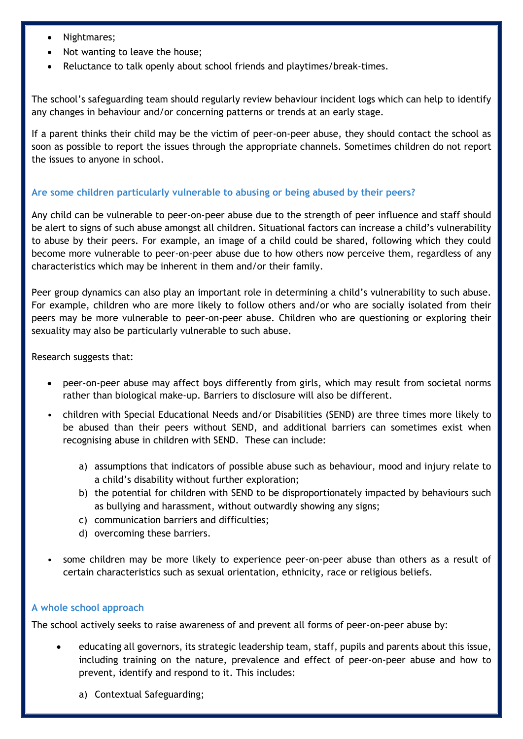- Nightmares;
- Not wanting to leave the house;
- Reluctance to talk openly about school friends and playtimes/break-times.

The school's safeguarding team should regularly review behaviour incident logs which can help to identify any changes in behaviour and/or concerning patterns or trends at an early stage.

If a parent thinks their child may be the victim of peer-on-peer abuse, they should contact the school as soon as possible to report the issues through the appropriate channels. Sometimes children do not report the issues to anyone in school.

#### **Are some children particularly vulnerable to abusing or being abused by their peers?**

Any child can be vulnerable to peer-on-peer abuse due to the strength of peer influence and staff should be alert to signs of such abuse amongst all children. Situational factors can increase a child's vulnerability to abuse by their peers. For example, an image of a child could be shared, following which they could become more vulnerable to peer-on-peer abuse due to how others now perceive them, regardless of any characteristics which may be inherent in them and/or their family.

Peer group dynamics can also play an important role in determining a child's vulnerability to such abuse. For example, children who are more likely to follow others and/or who are socially isolated from their peers may be more vulnerable to peer-on-peer abuse. Children who are questioning or exploring their sexuality may also be particularly vulnerable to such abuse.

Research suggests that:

- peer-on-peer abuse may affect boys differently from girls, which may result from societal norms rather than biological make-up. Barriers to disclosure will also be different.
- children with Special Educational Needs and/or Disabilities (SEND) are three times more likely to be abused than their peers without SEND, and additional barriers can sometimes exist when recognising abuse in children with SEND. These can include:
	- a) assumptions that indicators of possible abuse such as behaviour, mood and injury relate to a child's disability without further exploration;
	- b) the potential for children with SEND to be disproportionately impacted by behaviours such as bullying and harassment, without outwardly showing any signs;
	- c) communication barriers and difficulties;
	- d) overcoming these barriers.
- some children may be more likely to experience peer-on-peer abuse than others as a result of certain characteristics such as sexual orientation, ethnicity, race or religious beliefs.

#### **A whole school approach**

The school actively seeks to raise awareness of and prevent all forms of peer-on-peer abuse by:

- educating all governors, its strategic leadership team, staff, pupils and parents about this issue, including training on the nature, prevalence and effect of peer-on-peer abuse and how to prevent, identify and respond to it. This includes:
	- a) Contextual Safeguarding;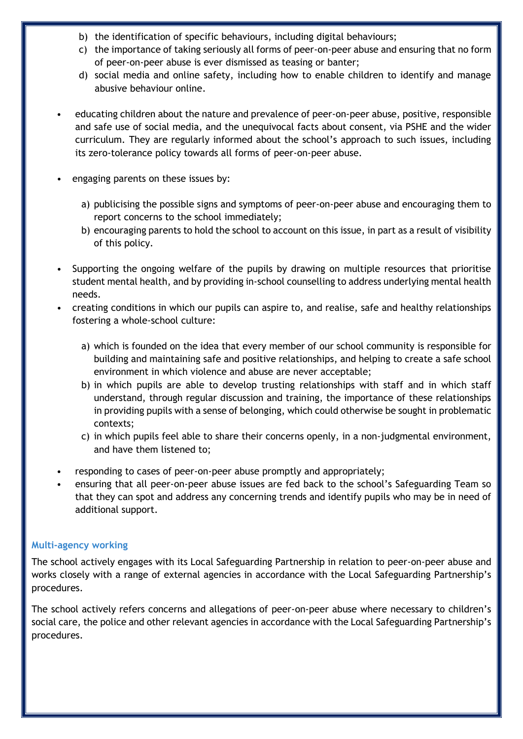- b) the identification of specific behaviours, including digital behaviours;
- c) the importance of taking seriously all forms of peer-on-peer abuse and ensuring that no form of peer-on-peer abuse is ever dismissed as teasing or banter;
- d) social media and online safety, including how to enable children to identify and manage abusive behaviour online.
- educating children about the nature and prevalence of peer-on-peer abuse, positive, responsible and safe use of social media, and the unequivocal facts about consent, via PSHE and the wider curriculum. They are regularly informed about the school's approach to such issues, including its zero-tolerance policy towards all forms of peer-on-peer abuse.
- engaging parents on these issues by:
	- a) publicising the possible signs and symptoms of peer-on-peer abuse and encouraging them to report concerns to the school immediately;
	- b) encouraging parents to hold the school to account on this issue, in part as a result of visibility of this policy.
- Supporting the ongoing welfare of the pupils by drawing on multiple resources that prioritise student mental health, and by providing in-school counselling to address underlying mental health needs.
- creating conditions in which our pupils can aspire to, and realise, safe and healthy relationships fostering a whole-school culture:
	- a) which is founded on the idea that every member of our school community is responsible for building and maintaining safe and positive relationships, and helping to create a safe school environment in which violence and abuse are never acceptable;
	- b) in which pupils are able to develop trusting relationships with staff and in which staff understand, through regular discussion and training, the importance of these relationships in providing pupils with a sense of belonging, which could otherwise be sought in problematic contexts;
	- c) in which pupils feel able to share their concerns openly, in a non-judgmental environment, and have them listened to;
- responding to cases of peer-on-peer abuse promptly and appropriately;
- ensuring that all peer-on-peer abuse issues are fed back to the school's Safeguarding Team so that they can spot and address any concerning trends and identify pupils who may be in need of additional support.

#### **Multi-agency working**

The school actively engages with its Local Safeguarding Partnership in relation to peer-on-peer abuse and works closely with a range of external agencies in accordance with the Local Safeguarding Partnership's procedures.

The school actively refers concerns and allegations of peer-on-peer abuse where necessary to children's social care, the police and other relevant agencies in accordance with the Local Safeguarding Partnership's procedures.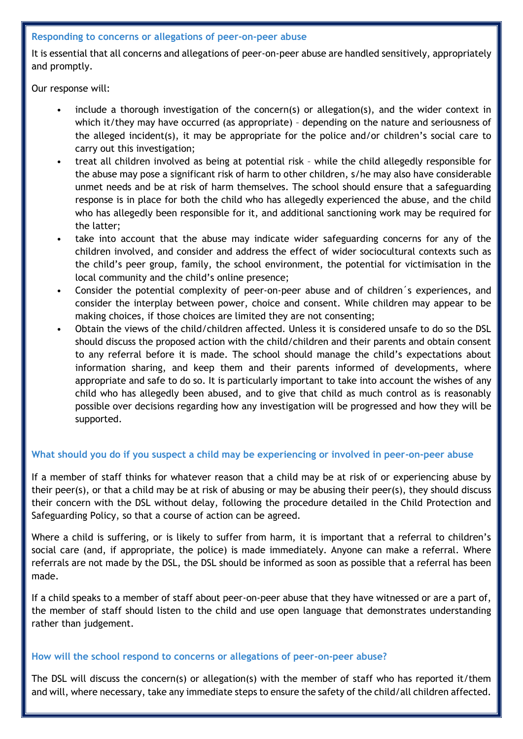#### **Responding to concerns or allegations of peer-on-peer abuse**

It is essential that all concerns and allegations of peer-on-peer abuse are handled sensitively, appropriately and promptly.

Our response will:

- include a thorough investigation of the concern(s) or allegation(s), and the wider context in which it/they may have occurred (as appropriate) – depending on the nature and seriousness of the alleged incident(s), it may be appropriate for the police and/or children's social care to carry out this investigation;
- treat all children involved as being at potential risk while the child allegedly responsible for the abuse may pose a significant risk of harm to other children, s/he may also have considerable unmet needs and be at risk of harm themselves. The school should ensure that a safeguarding response is in place for both the child who has allegedly experienced the abuse, and the child who has allegedly been responsible for it, and additional sanctioning work may be required for the latter;
- take into account that the abuse may indicate wider safeguarding concerns for any of the children involved, and consider and address the effect of wider sociocultural contexts such as the child's peer group, family, the school environment, the potential for victimisation in the local community and the child's online presence;
- Consider the potential complexity of peer-on-peer abuse and of children´s experiences, and consider the interplay between power, choice and consent. While children may appear to be making choices, if those choices are limited they are not consenting;
- Obtain the views of the child/children affected. Unless it is considered unsafe to do so the DSL should discuss the proposed action with the child/children and their parents and obtain consent to any referral before it is made. The school should manage the child's expectations about information sharing, and keep them and their parents informed of developments, where appropriate and safe to do so. It is particularly important to take into account the wishes of any child who has allegedly been abused, and to give that child as much control as is reasonably possible over decisions regarding how any investigation will be progressed and how they will be supported.

#### **What should you do if you suspect a child may be experiencing or involved in peer-on-peer abuse**

If a member of staff thinks for whatever reason that a child may be at risk of or experiencing abuse by their peer(s), or that a child may be at risk of abusing or may be abusing their peer(s), they should discuss their concern with the DSL without delay, following the procedure detailed in the Child Protection and Safeguarding Policy, so that a course of action can be agreed.

Where a child is suffering, or is likely to suffer from harm, it is important that a referral to children's social care (and, if appropriate, the police) is made immediately. Anyone can make a referral. Where referrals are not made by the DSL, the DSL should be informed as soon as possible that a referral has been made.

If a child speaks to a member of staff about peer-on-peer abuse that they have witnessed or are a part of, the member of staff should listen to the child and use open language that demonstrates understanding rather than judgement.

#### **How will the school respond to concerns or allegations of peer-on-peer abuse?**

The DSL will discuss the concern(s) or allegation(s) with the member of staff who has reported it/them and will, where necessary, take any immediate steps to ensure the safety of the child/all children affected.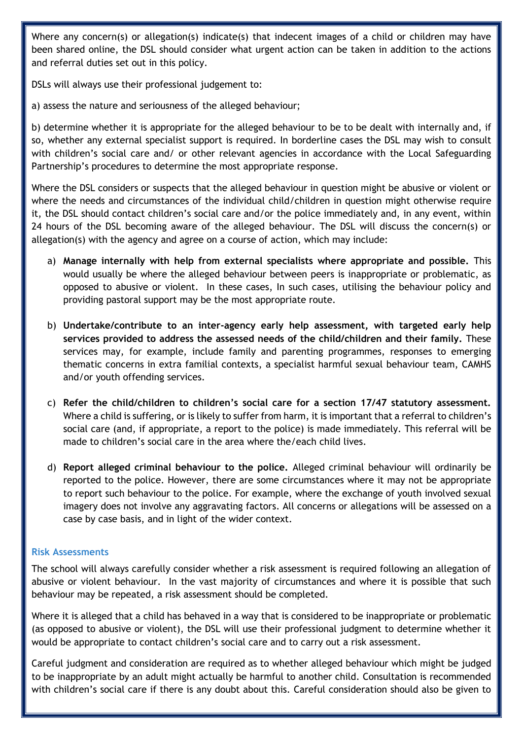Where any concern(s) or allegation(s) indicate(s) that indecent images of a child or children may have been shared online, the DSL should consider what urgent action can be taken in addition to the actions and referral duties set out in this policy.

DSLs will always use their professional judgement to:

a) assess the nature and seriousness of the alleged behaviour;

b) determine whether it is appropriate for the alleged behaviour to be to be dealt with internally and, if so, whether any external specialist support is required. In borderline cases the DSL may wish to consult with children's social care and/ or other relevant agencies in accordance with the Local Safeguarding Partnership's procedures to determine the most appropriate response.

Where the DSL considers or suspects that the alleged behaviour in question might be abusive or violent or where the needs and circumstances of the individual child/children in question might otherwise require it, the DSL should contact children's social care and/or the police immediately and, in any event, within 24 hours of the DSL becoming aware of the alleged behaviour. The DSL will discuss the concern(s) or allegation(s) with the agency and agree on a course of action, which may include:

- a) **Manage internally with help from external specialists where appropriate and possible.** This would usually be where the alleged behaviour between peers is inappropriate or problematic, as opposed to abusive or violent. In these cases, In such cases, utilising the behaviour policy and providing pastoral support may be the most appropriate route.
- b) **Undertake/contribute to an inter-agency early help assessment, with targeted early help services provided to address the assessed needs of the child/children and their family.** These services may, for example, include family and parenting programmes, responses to emerging thematic concerns in extra familial contexts, a specialist harmful sexual behaviour team, CAMHS and/or youth offending services.
- c) **Refer the child/children to children's social care for a section 17/47 statutory assessment.** Where a child is suffering, or is likely to suffer from harm, it is important that a referral to children's social care (and, if appropriate, a report to the police) is made immediately. This referral will be made to children's social care in the area where the/each child lives.
- d) **Report alleged criminal behaviour to the police.** Alleged criminal behaviour will ordinarily be reported to the police. However, there are some circumstances where it may not be appropriate to report such behaviour to the police. For example, where the exchange of youth involved sexual imagery does not involve any aggravating factors. All concerns or allegations will be assessed on a case by case basis, and in light of the wider context.

#### **Risk Assessments**

The school will always carefully consider whether a risk assessment is required following an allegation of abusive or violent behaviour. In the vast majority of circumstances and where it is possible that such behaviour may be repeated, a risk assessment should be completed.

Where it is alleged that a child has behaved in a way that is considered to be inappropriate or problematic (as opposed to abusive or violent), the DSL will use their professional judgment to determine whether it would be appropriate to contact children's social care and to carry out a risk assessment.

Careful judgment and consideration are required as to whether alleged behaviour which might be judged to be inappropriate by an adult might actually be harmful to another child. Consultation is recommended with children's social care if there is any doubt about this. Careful consideration should also be given to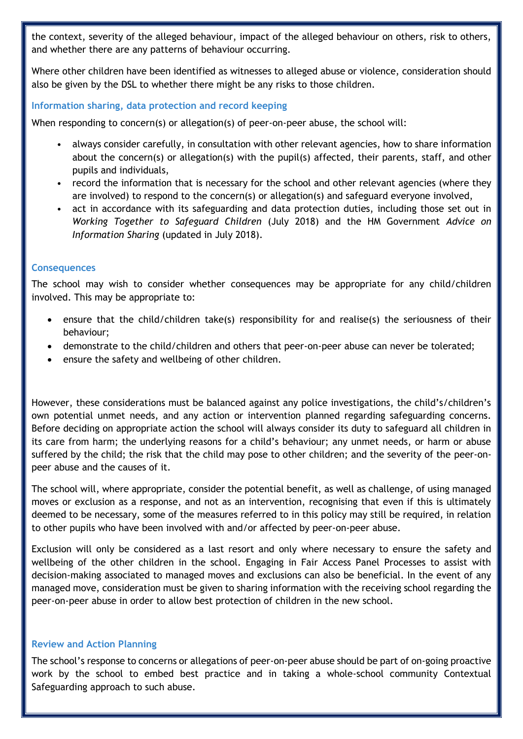the context, severity of the alleged behaviour, impact of the alleged behaviour on others, risk to others, and whether there are any patterns of behaviour occurring.

Where other children have been identified as witnesses to alleged abuse or violence, consideration should also be given by the DSL to whether there might be any risks to those children.

#### **Information sharing, data protection and record keeping**

When responding to concern(s) or allegation(s) of peer-on-peer abuse, the school will:

- always consider carefully, in consultation with other relevant agencies, how to share information about the concern(s) or allegation(s) with the pupil(s) affected, their parents, staff, and other pupils and individuals,
- record the information that is necessary for the school and other relevant agencies (where they are involved) to respond to the concern(s) or allegation(s) and safeguard everyone involved,
- act in accordance with its safeguarding and data protection duties, including those set out in *Working Together to Safeguard Children* (July 2018) and the HM Government *Advice on Information Sharing* (updated in July 2018).

#### **Consequences**

The school may wish to consider whether consequences may be appropriate for any child/children involved. This may be appropriate to:

- ensure that the child/children take(s) responsibility for and realise(s) the seriousness of their behaviour;
- demonstrate to the child/children and others that peer-on-peer abuse can never be tolerated;
- ensure the safety and wellbeing of other children.

However, these considerations must be balanced against any police investigations, the child's/children's own potential unmet needs, and any action or intervention planned regarding safeguarding concerns. Before deciding on appropriate action the school will always consider its duty to safeguard all children in its care from harm; the underlying reasons for a child's behaviour; any unmet needs, or harm or abuse suffered by the child; the risk that the child may pose to other children; and the severity of the peer-onpeer abuse and the causes of it.

The school will, where appropriate, consider the potential benefit, as well as challenge, of using managed moves or exclusion as a response, and not as an intervention, recognising that even if this is ultimately deemed to be necessary, some of the measures referred to in this policy may still be required, in relation to other pupils who have been involved with and/or affected by peer-on-peer abuse.

Exclusion will only be considered as a last resort and only where necessary to ensure the safety and wellbeing of the other children in the school. Engaging in Fair Access Panel Processes to assist with decision-making associated to managed moves and exclusions can also be beneficial. In the event of any managed move, consideration must be given to sharing information with the receiving school regarding the peer-on-peer abuse in order to allow best protection of children in the new school.

#### **Review and Action Planning**

The school's response to concerns or allegations of peer-on-peer abuse should be part of on-going proactive work by the school to embed best practice and in taking a whole-school community Contextual Safeguarding approach to such abuse.